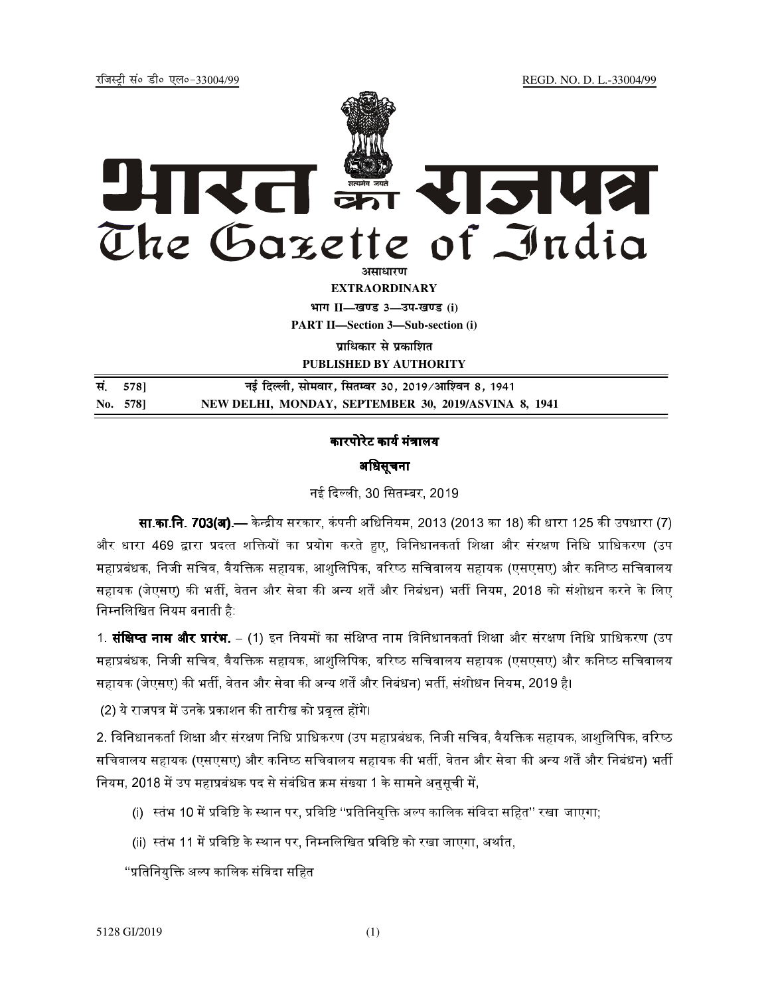REGD. NO. D. L.-33004/99

रजिस्टी सं० डी० एल०-33004/99



**EXTRAORDINARY** भाग II-खण्ड 3-उप-खण्ड (i) **PART II-Section 3-Sub-section (i)** 

पाधिकार से पकाशित

PUBLISHED BY AUTHORITY

| सं. 578] | नई दिल्ली, सोमवार, सितम्बर 30, 2019/आश्विन 8, 1941   |
|----------|------------------------------------------------------|
| No. 578  | NEW DELHI, MONDAY, SEPTEMBER 30, 2019/ASVINA 8, 1941 |

## कारपोरेट कार्य मंत्रालय अधिसूचना

नई दिल्ली, 30 सितम्बर, 2019

**सा.का.नि. 703(अ) —** केन्द्रीय सरकार, कंपनी अधिनियम, 2013 (2013 का 18) की धारा 125 की उपधारा (7) और धारा 469 द्वारा प्रदत्त शक्तियों का प्रयोग करते हुए, विनिधानकर्ता शिक्षा और संरक्षण निधि प्राधिकरण (उप महाप्रबंधक, निजी सचिव, वैयक्तिक सहायक, आशुलिपिक, वरिष्ठ सचिवालय सहायक (एसएसए) और कनिष्ठ सचिवालय सहायक (जेएसए) की भर्ती, वेतन और सेवा की अन्य शर्तें और निबंधन) भर्ती नियम, 2018 को संशोधन करने के लिए निम्नलिखित नियम बनाती है:

1. **संक्षिप्त नाम और प्रारंभ**. – (1) इन नियमों का संक्षिप्त नाम विनिधानकर्ता शिक्षा और संरक्षण निधि प्राधिकरण (उप महाप्रबंधक, निजी सचिव, वैयक्तिक सहायक, आशुलिपिक, वरिष्ठ सचिवालय सहायक (एसएसए) और कनिष्ठ सचिवालय सहायक (जेएसए) की भर्ती, वेतन और सेवा की अन्य शर्तें और निबंधन) भर्ती, संशोधन नियम, 2019 है।

(2) ये राजपत्र में उनके प्रकाशन की तारीख को प्रवृत्त होंगे।

2. विनिधानकर्ता शिक्षा और संरक्षण निधि प्राधिकरण (उप महाप्रबंधक, निजी सचिव, वैयक्तिक सहायक, आशुलिपिक, वरिष्ठ सचिवालय सहायक (एसएसए) और कनिष्ठ सचिवालय सहायक की भर्ती, वेतन और सेवा की अन्य शर्तें और निबंधन) भर्ती नियम, 2018 में उप महाप्रबंधक पद से संबंधित क्रम संख्या 1 के सामने अनुसूची में,

- (i) स्तंभ 10 में प्रविष्टि के स्थान पर, प्रविष्टि "प्रतिनियुक्ति अल्प कालिक संविदा सहित" रखा जाएगा;
- (ii) स्तंभ 11 में प्रविष्टि के स्थान पर, निम्नलिखित प्रविष्टि को रखा जाएगा, अर्थात,

''प्रतिनियुक्ति अल्प कालिक संविदा सहित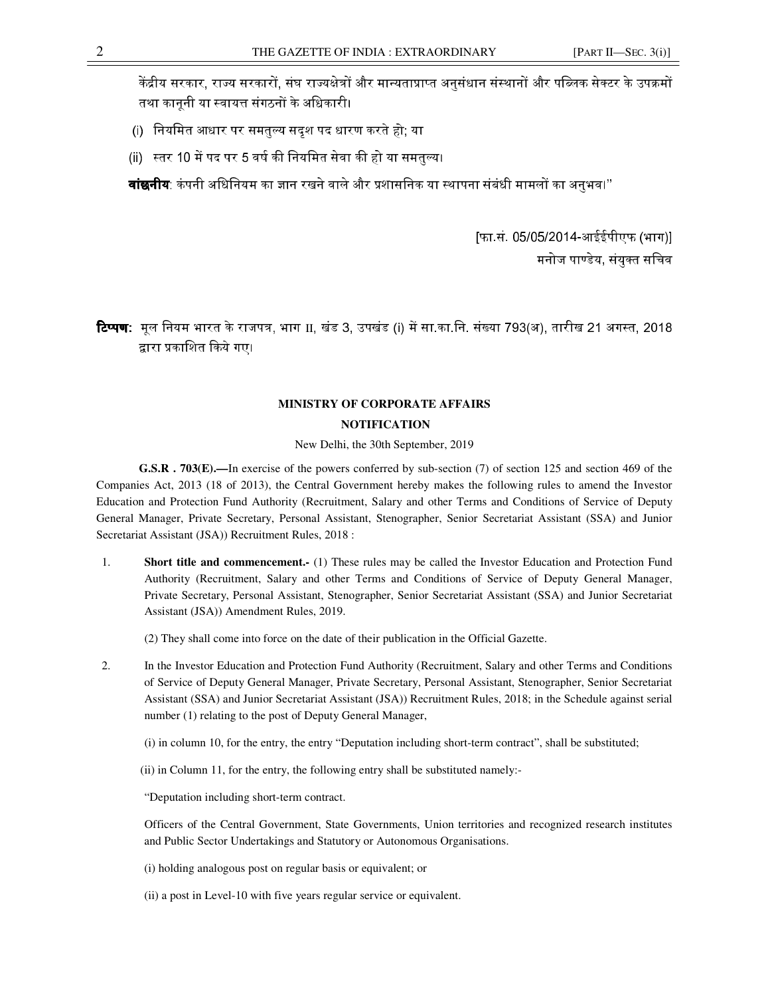केंद्रीय सरकार, राज्य सरकारों, संघ राज्यक्षेत्रों और मान्यताप्राप्त अनुसंधान संस्थानों और पब्लिक सेक्टर के उपक्रमों तथा कानूनी या स्वायत्त संगठनों के अधिकारी।

- (i) नियमित आधार पर समतुल्य सदृश पद धारण करते हो; या
- (ii) स्तर 10 में पद पर 5 वर्ष की नियमित सेवा की हो या समतुल्य।

**वांछनीय**: कंपनी अधिनियम का ज्ञान रखने वाले और प्रशासनिक या स्थापना संबंधी मामलों का अनभव।''

[फा.सं. 05/05/2014-आईईपीएफ (भाग)] मनोज पाण्डेय, संयुक्त सचिव

**टिप्पण:** मूल नियम भारत के राजपत्र, भाग II, खंड 3, उपखंड (i) में सा.का.नि. संख्या 793(अ), तारीख 21 अगस्त, 2018 द्वारा प्रकाशित किये गए।

## **MINISTRY OF CORPORATE AFFAIRS**

## **NOTIFICATION**

## New Delhi, the 30th September, 2019

**G.S.R . 703(E).—**In exercise of the powers conferred by sub-section (7) of section 125 and section 469 of the Companies Act, 2013 (18 of 2013), the Central Government hereby makes the following rules to amend the Investor Education and Protection Fund Authority (Recruitment, Salary and other Terms and Conditions of Service of Deputy General Manager, Private Secretary, Personal Assistant, Stenographer, Senior Secretariat Assistant (SSA) and Junior Secretariat Assistant (JSA)) Recruitment Rules, 2018 :

1. **Short title and commencement.-** (1) These rules may be called the Investor Education and Protection Fund Authority (Recruitment, Salary and other Terms and Conditions of Service of Deputy General Manager, Private Secretary, Personal Assistant, Stenographer, Senior Secretariat Assistant (SSA) and Junior Secretariat Assistant (JSA)) Amendment Rules, 2019.

(2) They shall come into force on the date of their publication in the Official Gazette.

- 2. In the Investor Education and Protection Fund Authority (Recruitment, Salary and other Terms and Conditions of Service of Deputy General Manager, Private Secretary, Personal Assistant, Stenographer, Senior Secretariat Assistant (SSA) and Junior Secretariat Assistant (JSA)) Recruitment Rules, 2018; in the Schedule against serial number (1) relating to the post of Deputy General Manager,
	- (i) in column 10, for the entry, the entry "Deputation including short-term contract", shall be substituted;
	- (ii) in Column 11, for the entry, the following entry shall be substituted namely:-

"Deputation including short-term contract.

Officers of the Central Government, State Governments, Union territories and recognized research institutes and Public Sector Undertakings and Statutory or Autonomous Organisations.

- (i) holding analogous post on regular basis or equivalent; or
- (ii) a post in Level-10 with five years regular service or equivalent.